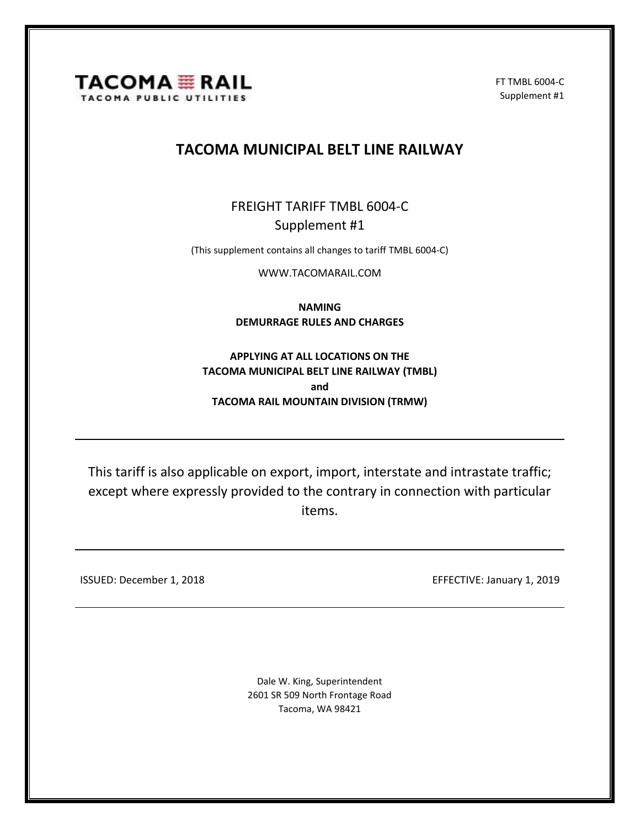

FT TMBL 6004-C Supplement #1

## **TACOMA MUNICIPAL BELT LINE RAILWAY**

FREIGHT TARIFF TMBL 6004-C Supplement #1

(This supplement contains all changes to tariff TMBL 6004-C)

[WWW.TACOMARAIL.COM](http://www.tacomarail.com/)

**NAMING DEMURRAGE RULES AND CHARGES**

**APPLYING AT ALL LOCATIONS ON THE TACOMA MUNICIPAL BELT LINE RAILWAY (TMBL) and TACOMA RAIL MOUNTAIN DIVISION (TRMW)**

This tariff is also applicable on export, import, interstate and intrastate traffic; except where expressly provided to the contrary in connection with particular items.

ISSUED: December 1, 2018 EFFECTIVE: January 1, 2019

Dale W. King, Superintendent 2601 SR 509 North Frontage Road Tacoma, WA 98421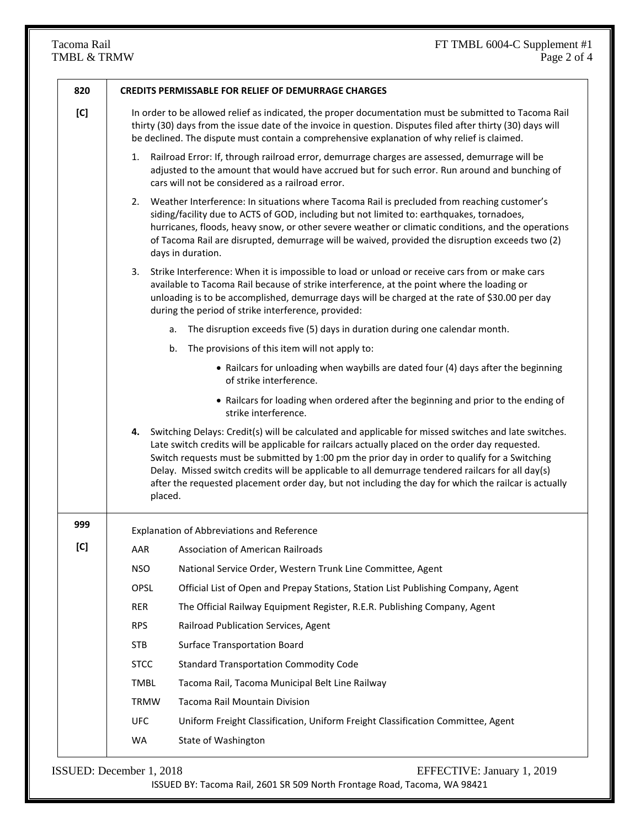| 820 |                                                   | <b>CREDITS PERMISSABLE FOR RELIEF OF DEMURRAGE CHARGES</b>                                                                                                                                                                                                                                                                                                                                                                                                                                                                |
|-----|---------------------------------------------------|---------------------------------------------------------------------------------------------------------------------------------------------------------------------------------------------------------------------------------------------------------------------------------------------------------------------------------------------------------------------------------------------------------------------------------------------------------------------------------------------------------------------------|
| [C] |                                                   | In order to be allowed relief as indicated, the proper documentation must be submitted to Tacoma Rail<br>thirty (30) days from the issue date of the invoice in question. Disputes filed after thirty (30) days will<br>be declined. The dispute must contain a comprehensive explanation of why relief is claimed.                                                                                                                                                                                                       |
|     | 1.                                                | Railroad Error: If, through railroad error, demurrage charges are assessed, demurrage will be<br>adjusted to the amount that would have accrued but for such error. Run around and bunching of<br>cars will not be considered as a railroad error.                                                                                                                                                                                                                                                                        |
|     |                                                   | 2. Weather Interference: In situations where Tacoma Rail is precluded from reaching customer's<br>siding/facility due to ACTS of GOD, including but not limited to: earthquakes, tornadoes,<br>hurricanes, floods, heavy snow, or other severe weather or climatic conditions, and the operations<br>of Tacoma Rail are disrupted, demurrage will be waived, provided the disruption exceeds two (2)<br>days in duration.                                                                                                 |
|     | 3.                                                | Strike Interference: When it is impossible to load or unload or receive cars from or make cars<br>available to Tacoma Rail because of strike interference, at the point where the loading or<br>unloading is to be accomplished, demurrage days will be charged at the rate of \$30.00 per day<br>during the period of strike interference, provided:                                                                                                                                                                     |
|     |                                                   | The disruption exceeds five (5) days in duration during one calendar month.<br>а.                                                                                                                                                                                                                                                                                                                                                                                                                                         |
|     |                                                   | b. The provisions of this item will not apply to:                                                                                                                                                                                                                                                                                                                                                                                                                                                                         |
|     |                                                   | • Railcars for unloading when waybills are dated four (4) days after the beginning<br>of strike interference.                                                                                                                                                                                                                                                                                                                                                                                                             |
|     |                                                   | • Railcars for loading when ordered after the beginning and prior to the ending of<br>strike interference.                                                                                                                                                                                                                                                                                                                                                                                                                |
|     | placed.                                           | 4. Switching Delays: Credit(s) will be calculated and applicable for missed switches and late switches.<br>Late switch credits will be applicable for railcars actually placed on the order day requested.<br>Switch requests must be submitted by 1:00 pm the prior day in order to qualify for a Switching<br>Delay. Missed switch credits will be applicable to all demurrage tendered railcars for all day(s)<br>after the requested placement order day, but not including the day for which the railcar is actually |
| 999 | <b>Explanation of Abbreviations and Reference</b> |                                                                                                                                                                                                                                                                                                                                                                                                                                                                                                                           |
| [C] | AAR                                               | <b>Association of American Railroads</b>                                                                                                                                                                                                                                                                                                                                                                                                                                                                                  |
|     | <b>NSO</b>                                        | National Service Order, Western Trunk Line Committee, Agent                                                                                                                                                                                                                                                                                                                                                                                                                                                               |
|     | <b>OPSL</b>                                       | Official List of Open and Prepay Stations, Station List Publishing Company, Agent                                                                                                                                                                                                                                                                                                                                                                                                                                         |
|     | <b>RER</b>                                        | The Official Railway Equipment Register, R.E.R. Publishing Company, Agent                                                                                                                                                                                                                                                                                                                                                                                                                                                 |
|     | <b>RPS</b>                                        | Railroad Publication Services, Agent                                                                                                                                                                                                                                                                                                                                                                                                                                                                                      |
|     | <b>STB</b>                                        | <b>Surface Transportation Board</b>                                                                                                                                                                                                                                                                                                                                                                                                                                                                                       |
|     | <b>STCC</b>                                       | <b>Standard Transportation Commodity Code</b>                                                                                                                                                                                                                                                                                                                                                                                                                                                                             |
|     | <b>TMBL</b>                                       | Tacoma Rail, Tacoma Municipal Belt Line Railway                                                                                                                                                                                                                                                                                                                                                                                                                                                                           |
|     | <b>TRMW</b>                                       | Tacoma Rail Mountain Division                                                                                                                                                                                                                                                                                                                                                                                                                                                                                             |
|     | <b>UFC</b>                                        | Uniform Freight Classification, Uniform Freight Classification Committee, Agent                                                                                                                                                                                                                                                                                                                                                                                                                                           |
|     | WA                                                | State of Washington                                                                                                                                                                                                                                                                                                                                                                                                                                                                                                       |